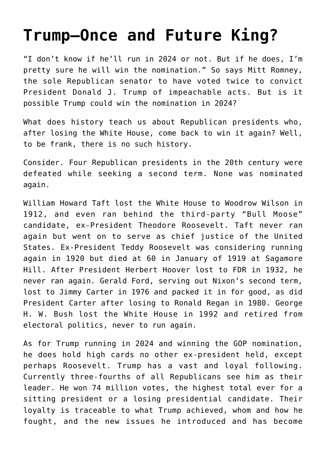## **[Trump—Once and Future King?](https://intellectualtakeout.org/2021/02/trump-once-and-future-king/)**

"I don't know if he'll run in 2024 or not. But if he does, I'm pretty sure he will win the nomination." So says Mitt Romney, the sole Republican senator to have voted twice to convict President Donald J. Trump of impeachable acts. But is it possible Trump could win the nomination in 2024?

What does history teach us about Republican presidents who, after losing the White House, come back to win it again? Well, to be frank, there is no such history.

Consider. Four Republican presidents in the 20th century were defeated while seeking a second term. None was nominated again.

William Howard Taft lost the White House to Woodrow Wilson in 1912, and even ran behind the third-party "Bull Moose" candidate, ex-President Theodore Roosevelt. Taft never ran again but went on to serve as chief justice of the United States. Ex-President Teddy Roosevelt was considering running again in 1920 but died at 60 in January of 1919 at Sagamore Hill. After President Herbert Hoover lost to FDR in 1932, he never ran again. Gerald Ford, serving out Nixon's second term, lost to Jimmy Carter in 1976 and packed it in for good, as did President Carter after losing to Ronald Regan in 1980. George H. W. Bush lost the White House in 1992 and retired from electoral politics, never to run again.

As for Trump running in 2024 and winning the GOP nomination, he does hold high cards no other ex-president held, except perhaps Roosevelt. Trump has a vast and loyal following. Currently three-fourths of all Republicans see him as their leader. He won 74 million votes, the highest total ever for a sitting president or a losing presidential candidate. Their loyalty is traceable to what Trump achieved, whom and how he fought, and the new issues he introduced and has become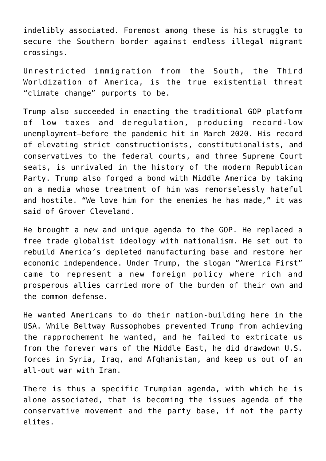indelibly associated. Foremost among these is his struggle to secure the Southern border against endless illegal migrant crossings.

Unrestricted immigration from the South, the Third Worldization of America, is the true existential threat "climate change" purports to be.

Trump also succeeded in enacting the traditional GOP platform of low taxes and deregulation, producing record-low unemployment—before the pandemic hit in March 2020. His record of elevating strict constructionists, constitutionalists, and conservatives to the federal courts, and three Supreme Court seats, is unrivaled in the history of the modern Republican Party. Trump also forged a bond with Middle America by taking on a media whose treatment of him was remorselessly hateful and hostile. "We love him for the enemies he has made," it was said of Grover Cleveland.

He brought a new and unique agenda to the GOP. He replaced a free trade globalist ideology with nationalism. He set out to rebuild America's depleted manufacturing base and restore her economic independence. Under Trump, the slogan "America First" came to represent a new foreign policy where rich and prosperous allies carried more of the burden of their own and the common defense.

He wanted Americans to do their nation-building here in the USA. While Beltway Russophobes prevented Trump from achieving the rapprochement he wanted, and he failed to extricate us from the forever wars of the Middle East, he did drawdown U.S. forces in Syria, Iraq, and Afghanistan, and keep us out of an all-out war with Iran.

There is thus a specific Trumpian agenda, with which he is alone associated, that is becoming the issues agenda of the conservative movement and the party base, if not the party elites.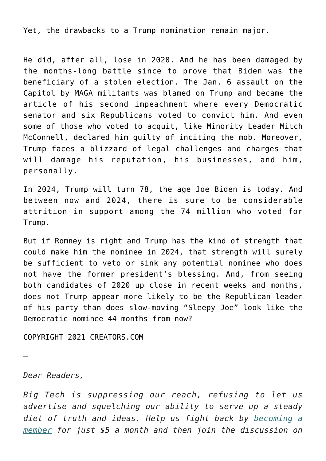Yet, the drawbacks to a Trump nomination remain major.

He did, after all, lose in 2020. And he has been damaged by the months-long battle since to prove that Biden was the beneficiary of a stolen election. The Jan. 6 assault on the Capitol by MAGA militants was blamed on Trump and became the article of his second impeachment where every Democratic senator and six Republicans voted to convict him. And even some of those who voted to acquit, like Minority Leader Mitch McConnell, declared him guilty of inciting the mob. Moreover, Trump faces a blizzard of legal challenges and charges that will damage his reputation, his businesses, and him, personally.

In 2024, Trump will turn 78, the age Joe Biden is today. And between now and 2024, there is sure to be considerable attrition in support among the 74 million who voted for Trump.

But if Romney is right and Trump has the kind of strength that could make him the nominee in 2024, that strength will surely be sufficient to veto or sink any potential nominee who does not have the former president's blessing. And, from seeing both candidates of 2020 up close in recent weeks and months, does not Trump appear more likely to be the Republican leader of his party than does slow-moving "Sleepy Joe" look like the Democratic nominee 44 months from now?

COPYRIGHT 2021 CREATORS.COM

*Dear Readers,*

—

*Big Tech is suppressing our reach, refusing to let us advertise and squelching our ability to serve up a steady diet of truth and ideas. Help us fight back by [becoming a](https://www.chroniclesmagazine.org/subscribe/) [member](https://www.chroniclesmagazine.org/subscribe/) for just \$5 a month and then join the discussion on*